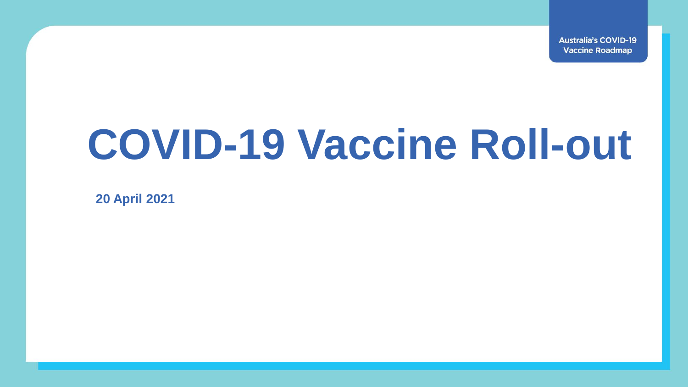**Australia's COVID-19 Vaccine Roadmap** 

# **COVID-19 Vaccine Roll-out**

**20 April 2021**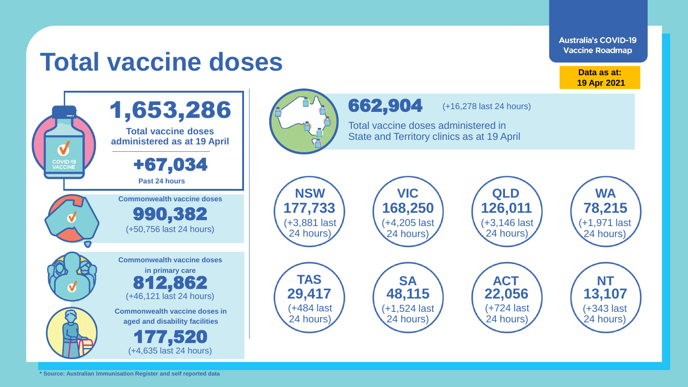**Australia's COVID-19 Vaccine Roadmap** 

## **Total vaccine doses**

**Data as at: 19 Apr 2021**

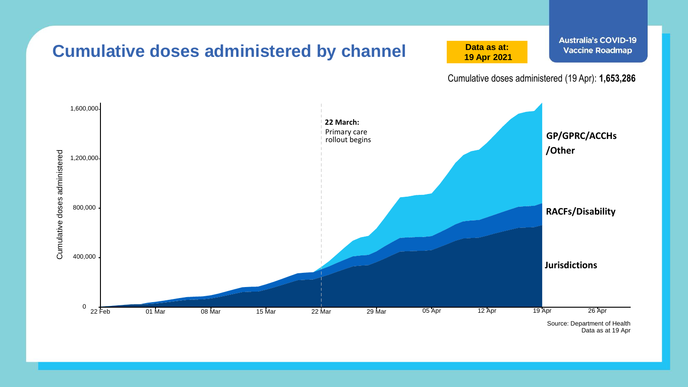

Data as at 19 Apr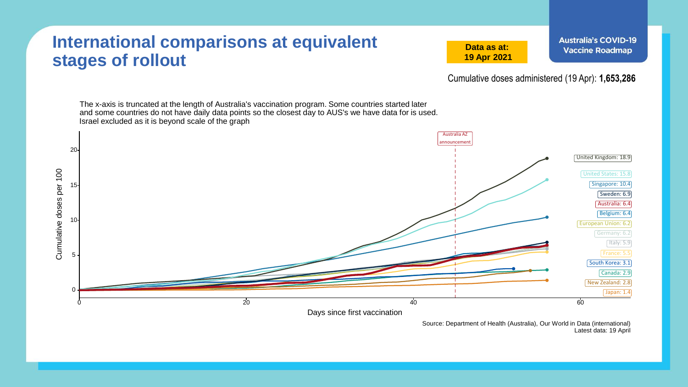#### **International comparisons at equivalent stages of rollout**

**Data as at: 19 Apr 2021**

Cumulative doses administered (19 Apr): **1,653,286**

The x-axis is truncated at the length of Australia's vaccination program. Some countries started later and some countries do not have daily data points so the closest day to AUS's we have data for is used. Israel excluded as it is beyond scale of the graph Australia AZ announcement 20 United Kingdom: 18.9 Cumulative doses per 100 Cumulative doses per 100 United States: 15.8 Singapore: 10.4 15 Sweden: 6.9 Australia: 6.4 Belgium: 6.4 10 European Union: 6.2 Germany: 6.2 Ttaly: 5.9 France: 5.5 5 South Korea: 3.1 Canada: 2.9 New Zealand: 2.8 0 Japan: 1.4  $0$  and the contract of  $20$  and  $40$  and  $60$  and  $60$  and  $60$  and  $60$  and  $60$  and  $60$ Days since first vaccination

> Source: Department of Health (Australia), Our World in Data (international) Latest data: 19 April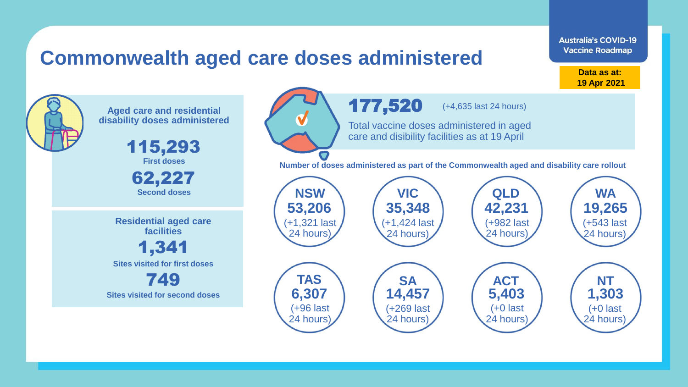### **Commonwealth aged care doses administered**

**Data as at: 19 Apr 2021**